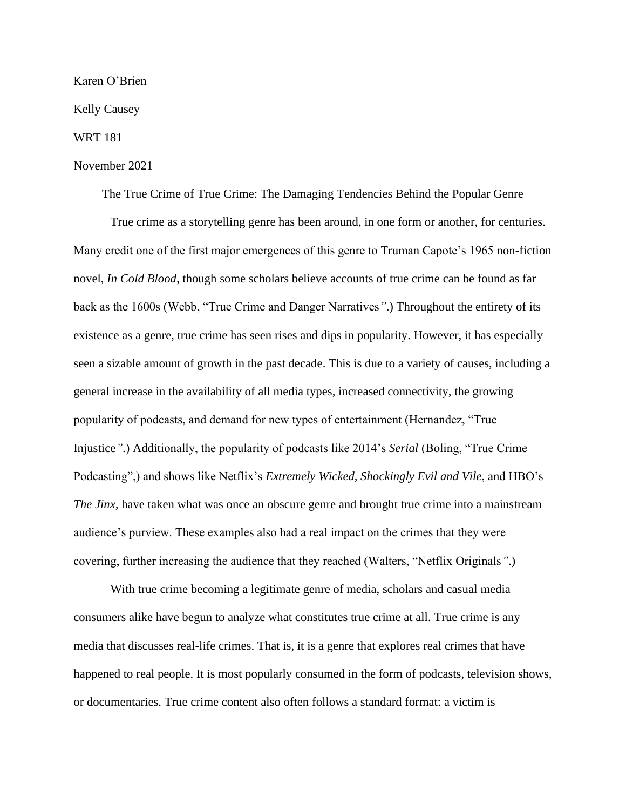## Karen O'Brien

Kelly Causey

## WRT 181

## November 2021

The True Crime of True Crime: The Damaging Tendencies Behind the Popular Genre

True crime as a storytelling genre has been around, in one form or another, for centuries. Many credit one of the first major emergences of this genre to Truman Capote's 1965 non-fiction novel, *In Cold Blood*, though some scholars believe accounts of true crime can be found as far back as the 1600s (Webb, "True Crime and Danger Narratives*"*.) Throughout the entirety of its existence as a genre, true crime has seen rises and dips in popularity. However, it has especially seen a sizable amount of growth in the past decade. This is due to a variety of causes, including a general increase in the availability of all media types, increased connectivity, the growing popularity of podcasts, and demand for new types of entertainment (Hernandez, "True Injustice*"*.) Additionally, the popularity of podcasts like 2014's *Serial* (Boling, "True Crime Podcasting",) and shows like Netflix's *Extremely Wicked, Shockingly Evil and Vile*, and HBO's *The Jinx*, have taken what was once an obscure genre and brought true crime into a mainstream audience's purview. These examples also had a real impact on the crimes that they were covering, further increasing the audience that they reached (Walters, "Netflix Originals*"*.)

With true crime becoming a legitimate genre of media, scholars and casual media consumers alike have begun to analyze what constitutes true crime at all. True crime is any media that discusses real-life crimes. That is, it is a genre that explores real crimes that have happened to real people. It is most popularly consumed in the form of podcasts, television shows, or documentaries. True crime content also often follows a standard format: a victim is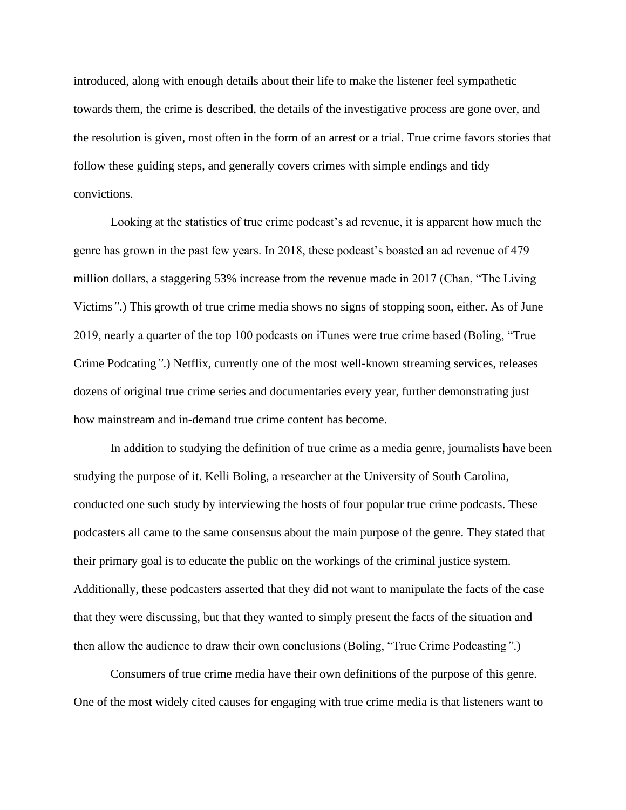introduced, along with enough details about their life to make the listener feel sympathetic towards them, the crime is described, the details of the investigative process are gone over, and the resolution is given, most often in the form of an arrest or a trial. True crime favors stories that follow these guiding steps, and generally covers crimes with simple endings and tidy convictions.

Looking at the statistics of true crime podcast's ad revenue, it is apparent how much the genre has grown in the past few years. In 2018, these podcast's boasted an ad revenue of 479 million dollars, a staggering 53% increase from the revenue made in 2017 (Chan, "The Living Victims*"*.) This growth of true crime media shows no signs of stopping soon, either. As of June 2019, nearly a quarter of the top 100 podcasts on iTunes were true crime based (Boling, "True Crime Podcating*"*.) Netflix, currently one of the most well-known streaming services, releases dozens of original true crime series and documentaries every year, further demonstrating just how mainstream and in-demand true crime content has become.

In addition to studying the definition of true crime as a media genre, journalists have been studying the purpose of it. Kelli Boling, a researcher at the University of South Carolina, conducted one such study by interviewing the hosts of four popular true crime podcasts. These podcasters all came to the same consensus about the main purpose of the genre. They stated that their primary goal is to educate the public on the workings of the criminal justice system. Additionally, these podcasters asserted that they did not want to manipulate the facts of the case that they were discussing, but that they wanted to simply present the facts of the situation and then allow the audience to draw their own conclusions (Boling, "True Crime Podcasting*"*.)

Consumers of true crime media have their own definitions of the purpose of this genre. One of the most widely cited causes for engaging with true crime media is that listeners want to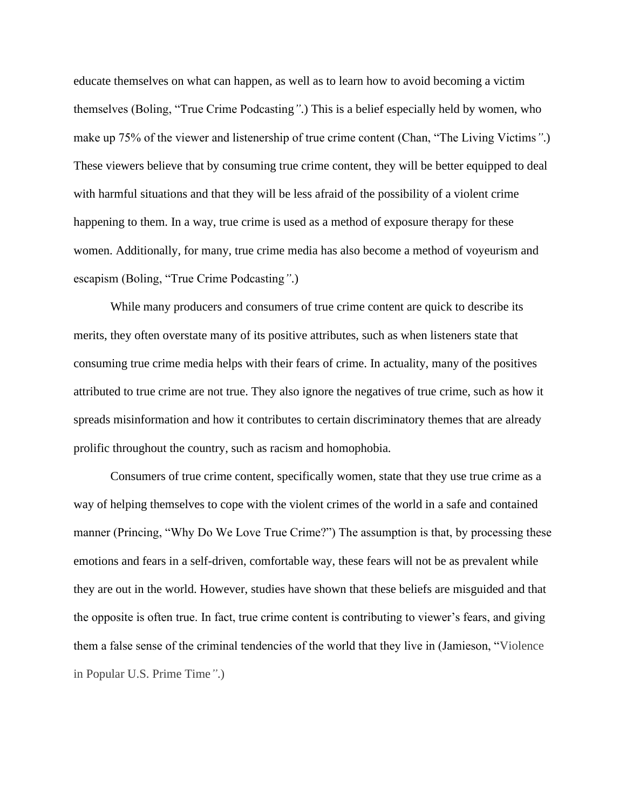educate themselves on what can happen, as well as to learn how to avoid becoming a victim themselves (Boling, "True Crime Podcasting*"*.) This is a belief especially held by women, who make up 75% of the viewer and listenership of true crime content (Chan, "The Living Victims*"*.) These viewers believe that by consuming true crime content, they will be better equipped to deal with harmful situations and that they will be less afraid of the possibility of a violent crime happening to them. In a way, true crime is used as a method of exposure therapy for these women. Additionally, for many, true crime media has also become a method of voyeurism and escapism (Boling, "True Crime Podcasting*"*.)

While many producers and consumers of true crime content are quick to describe its merits, they often overstate many of its positive attributes, such as when listeners state that consuming true crime media helps with their fears of crime. In actuality, many of the positives attributed to true crime are not true. They also ignore the negatives of true crime, such as how it spreads misinformation and how it contributes to certain discriminatory themes that are already prolific throughout the country, such as racism and homophobia.

Consumers of true crime content, specifically women, state that they use true crime as a way of helping themselves to cope with the violent crimes of the world in a safe and contained manner (Princing, "Why Do We Love True Crime?") The assumption is that, by processing these emotions and fears in a self-driven, comfortable way, these fears will not be as prevalent while they are out in the world. However, studies have shown that these beliefs are misguided and that the opposite is often true. In fact, true crime content is contributing to viewer's fears, and giving them a false sense of the criminal tendencies of the world that they live in (Jamieson, "Violence in Popular U.S. Prime Time*"*.)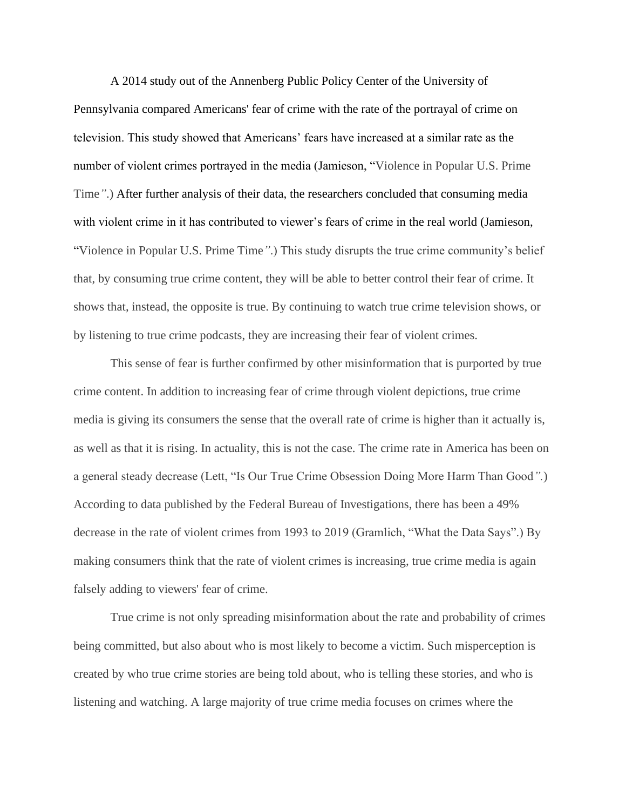A 2014 study out of the Annenberg Public Policy Center of the University of Pennsylvania compared Americans' fear of crime with the rate of the portrayal of crime on television. This study showed that Americans' fears have increased at a similar rate as the number of violent crimes portrayed in the media (Jamieson, "Violence in Popular U.S. Prime Time*"*.) After further analysis of their data, the researchers concluded that consuming media with violent crime in it has contributed to viewer's fears of crime in the real world (Jamieson, "Violence in Popular U.S. Prime Time*"*.) This study disrupts the true crime community's belief that, by consuming true crime content, they will be able to better control their fear of crime. It shows that, instead, the opposite is true. By continuing to watch true crime television shows, or by listening to true crime podcasts, they are increasing their fear of violent crimes.

This sense of fear is further confirmed by other misinformation that is purported by true crime content. In addition to increasing fear of crime through violent depictions, true crime media is giving its consumers the sense that the overall rate of crime is higher than it actually is, as well as that it is rising. In actuality, this is not the case. The crime rate in America has been on a general steady decrease (Lett, "Is Our True Crime Obsession Doing More Harm Than Good*".*) According to data published by the Federal Bureau of Investigations, there has been a 49% decrease in the rate of violent crimes from 1993 to 2019 (Gramlich, "What the Data Says".) By making consumers think that the rate of violent crimes is increasing, true crime media is again falsely adding to viewers' fear of crime.

True crime is not only spreading misinformation about the rate and probability of crimes being committed, but also about who is most likely to become a victim. Such misperception is created by who true crime stories are being told about, who is telling these stories, and who is listening and watching. A large majority of true crime media focuses on crimes where the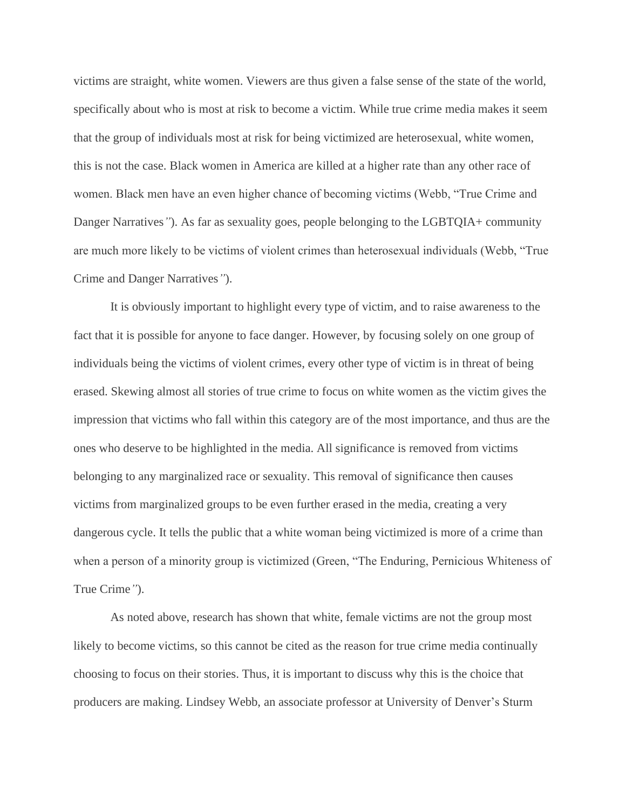victims are straight, white women. Viewers are thus given a false sense of the state of the world, specifically about who is most at risk to become a victim. While true crime media makes it seem that the group of individuals most at risk for being victimized are heterosexual, white women, this is not the case. Black women in America are killed at a higher rate than any other race of women. Black men have an even higher chance of becoming victims (Webb, "True Crime and Danger Narratives<sup>"</sup>). As far as sexuality goes, people belonging to the LGBTQIA+ community are much more likely to be victims of violent crimes than heterosexual individuals (Webb, "True Crime and Danger Narratives*"*).

It is obviously important to highlight every type of victim, and to raise awareness to the fact that it is possible for anyone to face danger. However, by focusing solely on one group of individuals being the victims of violent crimes, every other type of victim is in threat of being erased. Skewing almost all stories of true crime to focus on white women as the victim gives the impression that victims who fall within this category are of the most importance, and thus are the ones who deserve to be highlighted in the media. All significance is removed from victims belonging to any marginalized race or sexuality. This removal of significance then causes victims from marginalized groups to be even further erased in the media, creating a very dangerous cycle. It tells the public that a white woman being victimized is more of a crime than when a person of a minority group is victimized (Green, "The Enduring, Pernicious Whiteness of True Crime*"*).

As noted above, research has shown that white, female victims are not the group most likely to become victims, so this cannot be cited as the reason for true crime media continually choosing to focus on their stories. Thus, it is important to discuss why this is the choice that producers are making. Lindsey Webb, an associate professor at University of Denver's Sturm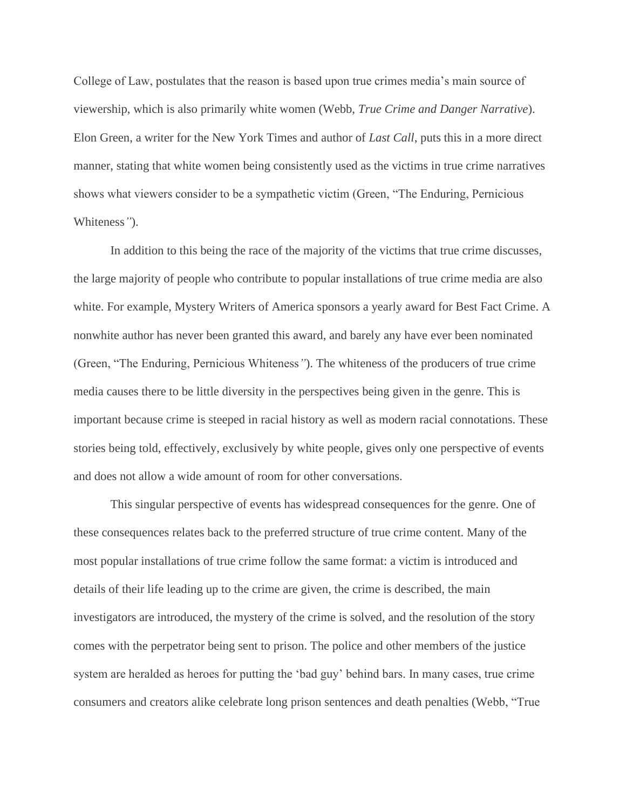College of Law, postulates that the reason is based upon true crimes media's main source of viewership, which is also primarily white women (Webb, *True Crime and Danger Narrative*). Elon Green, a writer for the New York Times and author of *Last Call*, puts this in a more direct manner, stating that white women being consistently used as the victims in true crime narratives shows what viewers consider to be a sympathetic victim (Green, "The Enduring, Pernicious Whiteness*"*).

In addition to this being the race of the majority of the victims that true crime discusses, the large majority of people who contribute to popular installations of true crime media are also white. For example, Mystery Writers of America sponsors a yearly award for Best Fact Crime. A nonwhite author has never been granted this award, and barely any have ever been nominated (Green, "The Enduring, Pernicious Whiteness*"*). The whiteness of the producers of true crime media causes there to be little diversity in the perspectives being given in the genre. This is important because crime is steeped in racial history as well as modern racial connotations. These stories being told, effectively, exclusively by white people, gives only one perspective of events and does not allow a wide amount of room for other conversations.

This singular perspective of events has widespread consequences for the genre. One of these consequences relates back to the preferred structure of true crime content. Many of the most popular installations of true crime follow the same format: a victim is introduced and details of their life leading up to the crime are given, the crime is described, the main investigators are introduced, the mystery of the crime is solved, and the resolution of the story comes with the perpetrator being sent to prison. The police and other members of the justice system are heralded as heroes for putting the 'bad guy' behind bars. In many cases, true crime consumers and creators alike celebrate long prison sentences and death penalties (Webb, "True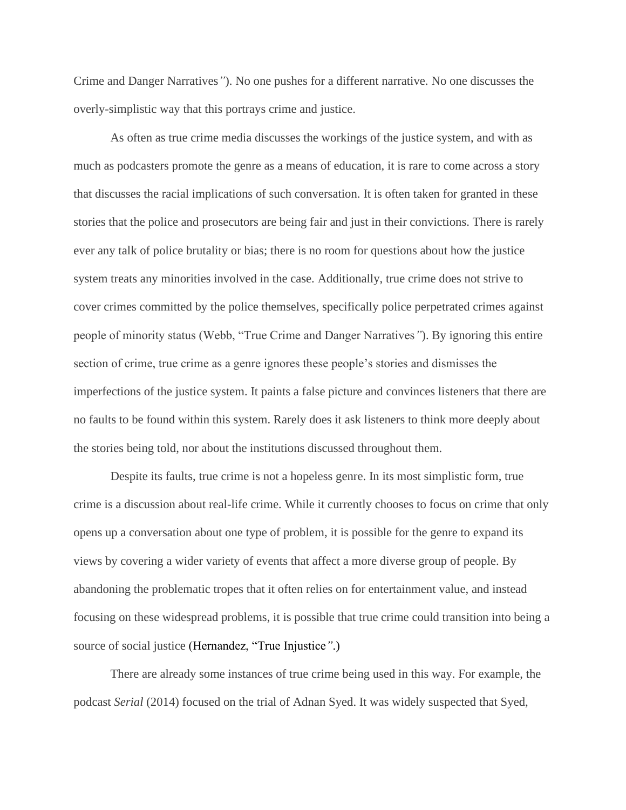Crime and Danger Narratives*"*). No one pushes for a different narrative. No one discusses the overly-simplistic way that this portrays crime and justice.

As often as true crime media discusses the workings of the justice system, and with as much as podcasters promote the genre as a means of education, it is rare to come across a story that discusses the racial implications of such conversation. It is often taken for granted in these stories that the police and prosecutors are being fair and just in their convictions. There is rarely ever any talk of police brutality or bias; there is no room for questions about how the justice system treats any minorities involved in the case. Additionally, true crime does not strive to cover crimes committed by the police themselves, specifically police perpetrated crimes against people of minority status (Webb, "True Crime and Danger Narratives*"*). By ignoring this entire section of crime, true crime as a genre ignores these people's stories and dismisses the imperfections of the justice system. It paints a false picture and convinces listeners that there are no faults to be found within this system. Rarely does it ask listeners to think more deeply about the stories being told, nor about the institutions discussed throughout them.

Despite its faults, true crime is not a hopeless genre. In its most simplistic form, true crime is a discussion about real-life crime. While it currently chooses to focus on crime that only opens up a conversation about one type of problem, it is possible for the genre to expand its views by covering a wider variety of events that affect a more diverse group of people. By abandoning the problematic tropes that it often relies on for entertainment value, and instead focusing on these widespread problems, it is possible that true crime could transition into being a source of social justice (Hernandez, "True Injustice*"*.)

There are already some instances of true crime being used in this way. For example, the podcast *Serial* (2014) focused on the trial of Adnan Syed. It was widely suspected that Syed,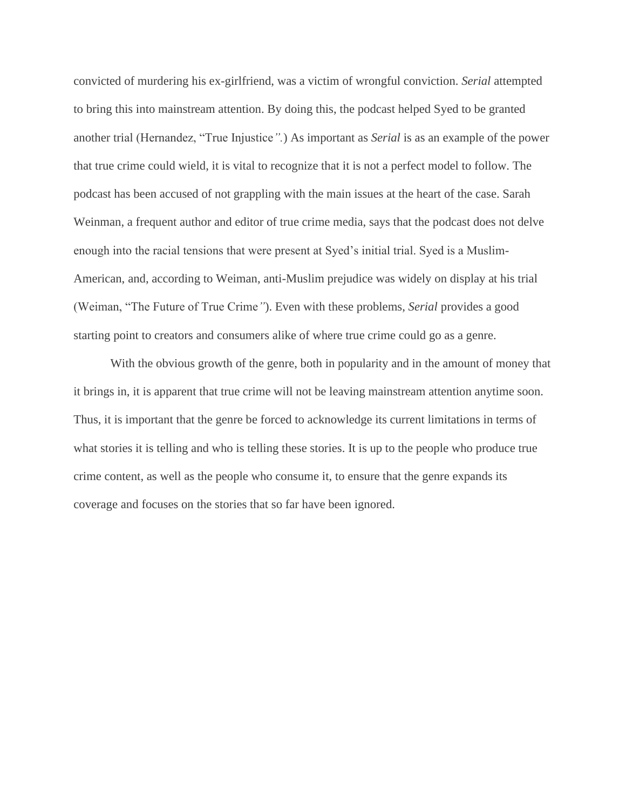convicted of murdering his ex-girlfriend, was a victim of wrongful conviction. *Serial* attempted to bring this into mainstream attention. By doing this, the podcast helped Syed to be granted another trial (Hernandez, "True Injustice*".*) As important as *Serial* is as an example of the power that true crime could wield, it is vital to recognize that it is not a perfect model to follow. The podcast has been accused of not grappling with the main issues at the heart of the case. Sarah Weinman, a frequent author and editor of true crime media, says that the podcast does not delve enough into the racial tensions that were present at Syed's initial trial. Syed is a Muslim-American, and, according to Weiman, anti-Muslim prejudice was widely on display at his trial (Weiman, "The Future of True Crime*"*). Even with these problems, *Serial* provides a good starting point to creators and consumers alike of where true crime could go as a genre.

With the obvious growth of the genre, both in popularity and in the amount of money that it brings in, it is apparent that true crime will not be leaving mainstream attention anytime soon. Thus, it is important that the genre be forced to acknowledge its current limitations in terms of what stories it is telling and who is telling these stories. It is up to the people who produce true crime content, as well as the people who consume it, to ensure that the genre expands its coverage and focuses on the stories that so far have been ignored.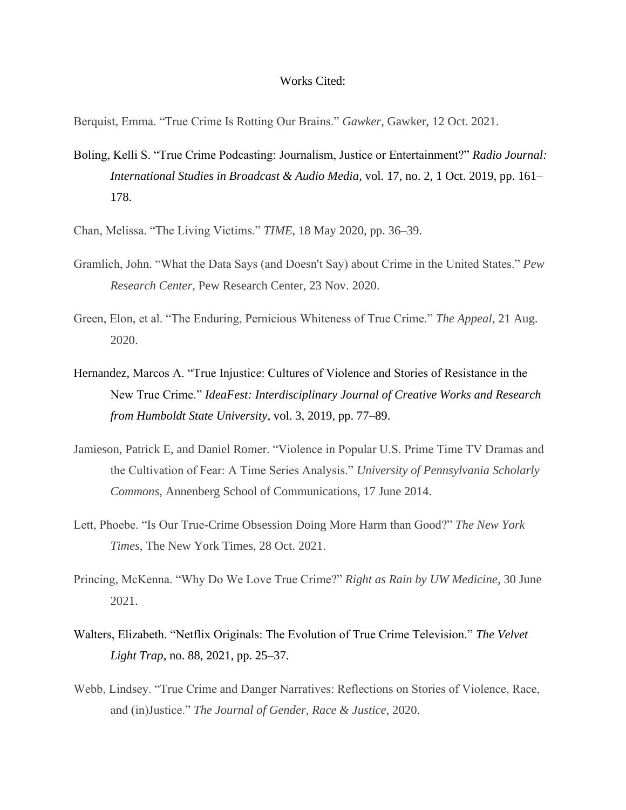## Works Cited:

Berquist, Emma. "True Crime Is Rotting Our Brains." *Gawker*, Gawker, 12 Oct. 2021.

- Boling, Kelli S. "True Crime Podcasting: Journalism, Justice or Entertainment?" *Radio Journal: International Studies in Broadcast & Audio Media*, vol. 17, no. 2, 1 Oct. 2019, pp. 161– 178.
- Chan, Melissa. "The Living Victims." *TIME*, 18 May 2020, pp. 36–39.
- Gramlich, John. "What the Data Says (and Doesn't Say) about Crime in the United States." *Pew Research Center*, Pew Research Center, 23 Nov. 2020.
- Green, Elon, et al. "The Enduring, Pernicious Whiteness of True Crime." *The Appeal*, 21 Aug. 2020.
- Hernandez, Marcos A. "True Injustice: Cultures of Violence and Stories of Resistance in the New True Crime." *IdeaFest: Interdisciplinary Journal of Creative Works and Research from Humboldt State University*, vol. 3, 2019, pp. 77–89.
- Jamieson, Patrick E, and Daniel Romer. "Violence in Popular U.S. Prime Time TV Dramas and the Cultivation of Fear: A Time Series Analysis." *University of Pennsylvania Scholarly Commons*, Annenberg School of Communications, 17 June 2014.
- Lett, Phoebe. "Is Our True-Crime Obsession Doing More Harm than Good?" *The New York Times*, The New York Times, 28 Oct. 2021.
- Princing, McKenna. "Why Do We Love True Crime?" *Right as Rain by UW Medicine*, 30 June 2021.
- Walters, Elizabeth. "Netflix Originals: The Evolution of True Crime Television." *The Velvet Light Trap*, no. 88, 2021, pp. 25–37.
- Webb, Lindsey. "True Crime and Danger Narratives: Reflections on Stories of Violence, Race, and (in)Justice." *The Journal of Gender, Race & Justice*, 2020.